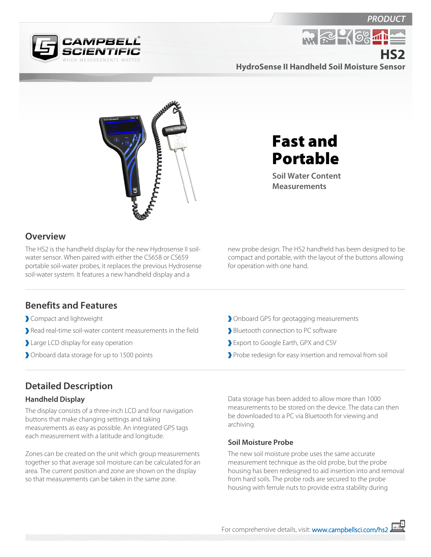



**HydroSense II Handheld Soil Moisture Sensor HS2**

**R. P. 46%** 



Fast and Portable

**Soil Water Content Measurements**

## **Overview**

The HS2 is the handheld display for the new Hydrosense II soilwater sensor. When paired with either the CS658 or CS659 portable soil-water probes, it replaces the previous Hydrosense soil-water system. It features a new handheld display and a

new probe design. The HS2 handheld has been designed to be compact and portable, with the layout of the buttons allowing for operation with one hand.

## **Benefits and Features**

- Compact and lightweight
- Read real-time soil-water content measurements in the field
- Large LCD display for easy operation
- Onboard data storage for up to 1500 points
- Onboard GPS for geotagging measurements
- Bluetooth connection to PC software
- Export to Google Earth, GPX and CSV
- Probe redesign for easy insertion and removal from soil

## **Detailed Description**

#### **Handheld Display**

The display consists of a three-inch LCD and four navigation buttons that make changing settings and taking measurements as easy as possible. An integrated GPS tags each measurement with a latitude and longitude.

Zones can be created on the unit which group measurements together so that average soil moisture can be calculated for an area. The current position and zone are shown on the display so that measurements can be taken in the same zone.

Data storage has been added to allow more than 1000 measurements to be stored on the device. The data can then be downloaded to a PC via Bluetooth for viewing and archiving.

#### **Soil Moisture Probe**

The new soil moisture probe uses the same accurate measurement technique as the old probe, but the probe housing has been redesigned to aid insertion into and removal from hard soils. The probe rods are secured to the probe housing with ferrule nuts to provide extra stability during